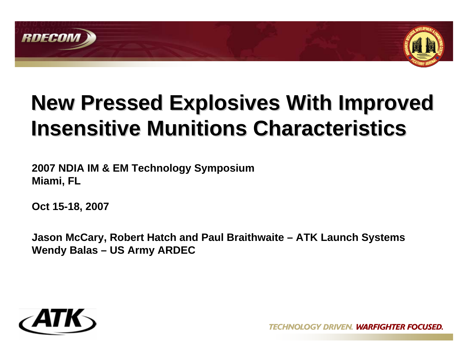



# **New Pressed Explosives With Improved Insensitive Munitions Characteristics Insensitive Munitions Characteristics**

**2007 NDIA IM & EM Technology Symposium Miami, FL**

**Oct 15-18, 2007**

**Jason McCary, Robert Hatch and Paul Braithwaite – ATK Launch Systems Wendy Balas – US Army ARDEC**

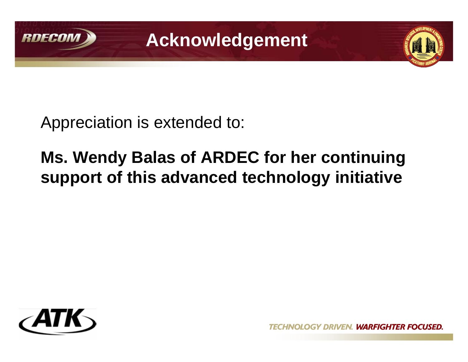

**Acknowledgement**



Appreciation is extended to:

## **Ms. Wendy Balas of ARDEC for her continuing support of this advanced technology initiative**



OGY DRIVEN. WARFIGHTER FOCUSED.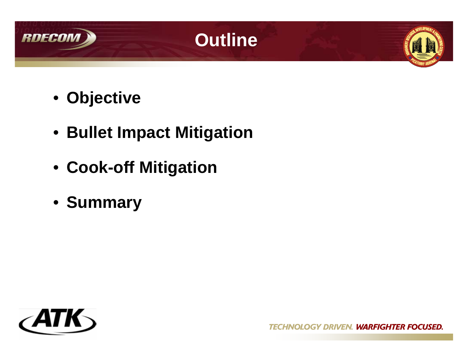





- **Objective**
- **Bullet Impact Mitigation**
- **Cook-off Mitigation**
- **Summary**

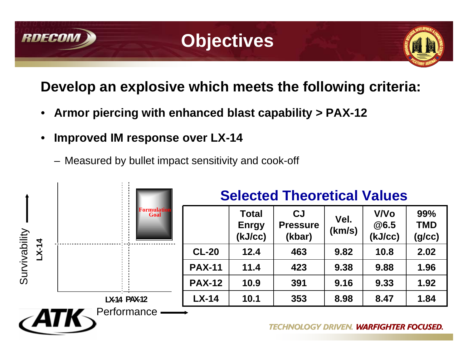

## **Objectives**



### **Develop an explosive which meets the following criteria:**

- **Armor piercing with enhanced blast capability > PAX-12**
- **Improved IM response over LX-14**
	- Measured by bullet impact sensitivity and cook-off

|                        | F <mark>ormulati</mark> o<br>Goal | <b>Selected Theoretical Values</b> |                                         |                                        |                |                                |                             |
|------------------------|-----------------------------------|------------------------------------|-----------------------------------------|----------------------------------------|----------------|--------------------------------|-----------------------------|
| Survivability<br>LX-14 |                                   |                                    | <b>Total</b><br><b>Enrgy</b><br>(kJ/cc) | <b>CJ</b><br><b>Pressure</b><br>(kbar) | Vel.<br>(km/s) | <b>V/Vo</b><br>@6.5<br>(kJ/cc) | 99%<br><b>TMD</b><br>(g/cc) |
|                        |                                   | <b>CL-20</b>                       | 12.4                                    | 463                                    | 9.82           | 10.8                           | 2.02                        |
|                        |                                   | <b>PAX-11</b>                      | 11.4                                    | 423                                    | 9.38           | 9.88                           | 1.96                        |
|                        |                                   | <b>PAX-12</b>                      | 10.9                                    | 391                                    | 9.16           | 9.33                           | 1.92                        |
|                        | <b>LX-14 PAX-12</b>               | $LX-14$                            | 10.1                                    | 353                                    | 8.98           | 8.47                           | 1.84                        |
| $\epsilon$ ATK         | Performance                       |                                    |                                         | <b>TECHNOLOGY DRIVEN.</b>              |                | <b>WARFIGHTER FOCUSED.</b>     |                             |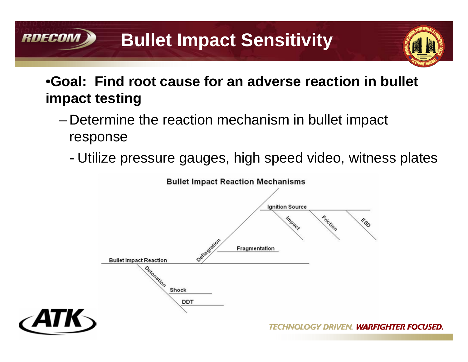#### **RDECOM Bullet Impact Sensitivity**



### •**Goal: Find root cause for an adverse reaction in bullet impact testing**

- Determine the reaction mechanism in bullet impact response
	- Utilize pressure gauges, high speed video, witness plates

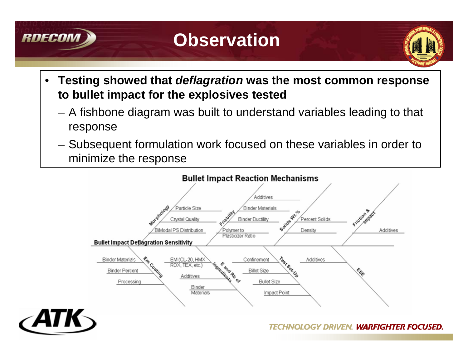

## **Observation**



- **Testing showed that** *deflagration* **was the most common response to bullet impact for the explosives tested**
	- A fishbone diagram was built to understand variables leading to that response
	- Subsequent formulation work focused on these variables in order to minimize the response

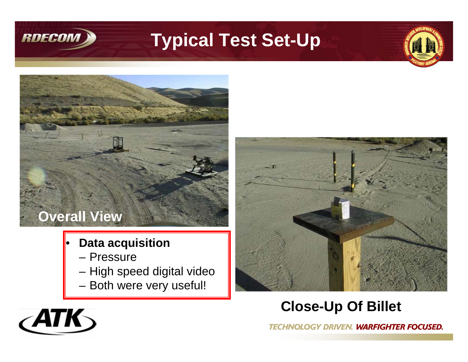

 $\langle$ ATK $\rangle$ 

## **Typical Test Set-Up**





- **Data acquisition**
	- Pressure
	- High speed digital video
	- Both were very useful!



### **Close-Up Of Billet**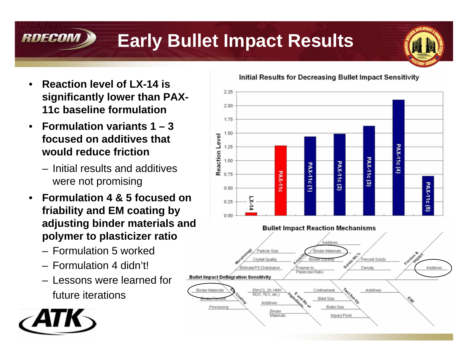#### RDECOM **Early Bullet Impact Results**



- **Reaction level of LX-14 is significantly lower than PAX-11c baseline formulation**
- **Formulation variants 1 3 focused on additives that would reduce friction** 
	- Initial results and additives were not promising
- **Formulation 4 & 5 focused on friability and EM coating by adjusting binder materials and polymer to plasticizer ratio**
	- Formulation 5 worked
	- Formulation 4 didn't!
	- Lessons were learned for future iterations



Initial Results for Decreasing Bullet Impact Sensitivity

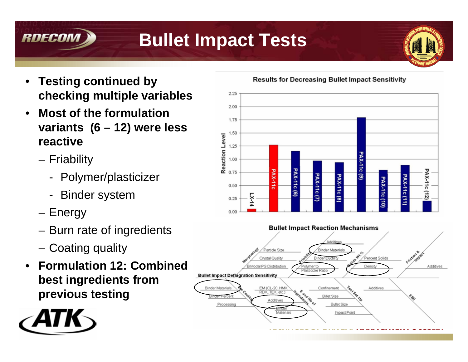# **Bullet Impact Tests**



- **Testing continued by checking multiple variables**
- **Most of the formulation variants (6 – 12) were less reactive**
	- Friability

RDECON

- Polymer/plasticizer
- **Binder system**
- Energy
- Burn rate of ingredients
- Coating quality
- **Formulation 12: Combined best ingredients from previous testing**



**Results for Decreasing Bullet Impact Sensitivity** 



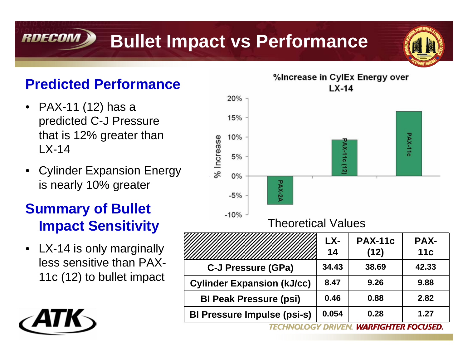#### **RDECOM Bullet Impact vs Performance**



### **Predicted Performance**

- PAX-11 (12) has a predicted C-J Pressure that is 12% greater than LX-14
- Cylinder Expansion Energy is nearly 10% greater

### **Summary of Bullet Impact Sensitivity**

• LX-14 is only marginally less sensitive than PAX-11c (12) to bullet impact



**BI Peak Pressure (psi) 0.46 0.88 2.82**

**BI Pressure Impulse (psi-s) 0.054 0.28 1.27**

**WARFIGHTER FOCUSED. DRIVEN**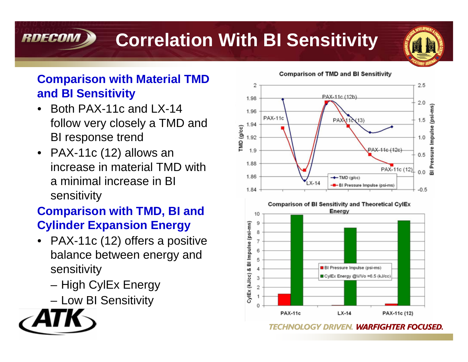# **Correlation With BI Sensitivity**



### **Comparison with Material TMD and BI Sensitivity**

- Both PAX-11c and LX-14 follow very closely a TMD and BI response trend
- PAX-11c (12) allows an increase in material TMD with a minimal increase in BI sensitivity

### **Comparison with TMD, BI and Cylinder Expansion Energy**

- PAX-11c (12) offers a positive balance between energy and sensitivity
	- High CylEx Energy
	- Low BI Sensitivity



RDECOM

**Comparison of TMD and BI Sensitivity** 

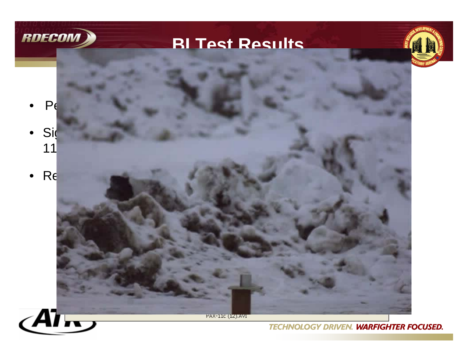

### **BI Test Results**



- $P_6$ Pellets are conditioned at 70°C prior to testing.
- Significant differences in visible flame baseline  $\mathcal{L}$ 11 $\blacksquare$
- Results are repeated by  $\mathbb{R}$  shown in formulation  $\mathbb{R}$



PAX-11c (12).AVI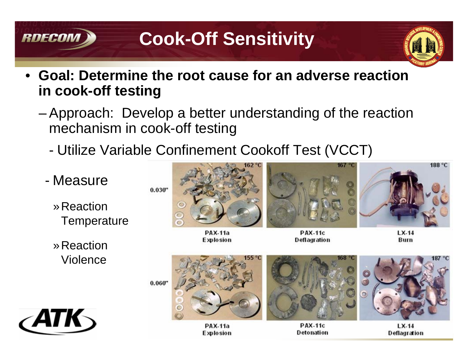## **Cook-Off Sensitivity**



Deflagration

• **Goal: Determine the root cause for an adverse reaction in cook-off testing**

**RDECOM** 

- Approach: Develop a better understanding of the reaction mechanism in cook-off testing
	- Utilize Variable Confinement Cookoff Test (VCCT)

**Explosion** 



Detonation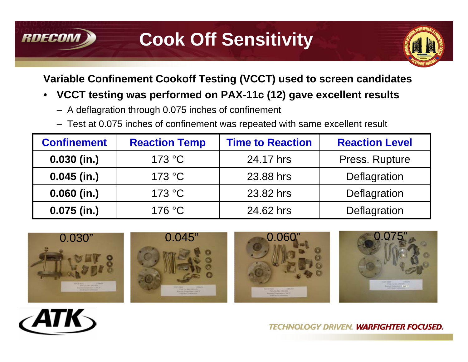## **Cook Off Sensitivity**



### **Variable Confinement Cookoff Testing (VCCT) used to screen candidates**

### • **VCCT testing was performed on PAX-11c (12) gave excellent results**

- A deflagration through 0.075 inches of confinement
- Test at 0.075 inches of confinement was repeated with same excellent result

| <b>Confinement</b> | <b>Reaction Temp</b> | <b>Time to Reaction</b> | <b>Reaction Level</b> |
|--------------------|----------------------|-------------------------|-----------------------|
| $0.030$ (in.)      | 173 °C               | 24.17 hrs               | Press. Rupture        |
| $0.045$ (in.)      | 173 °C               | 23.88 hrs               | Deflagration          |
| $0.060$ (in.)      | 173 °C               | 23.82 hrs               | Deflagration          |
| $0.075$ (in.)      | 176 °C               | 24.62 hrs               | Deflagration          |











**RDECON**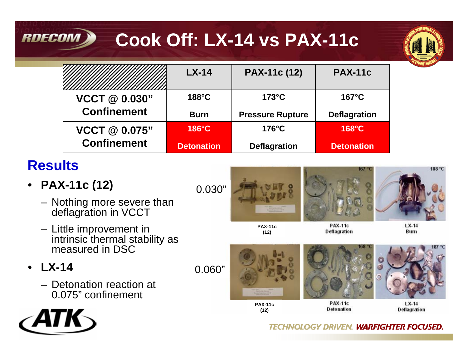# **Cook Off: LX-14 vs PAX-11c**



|                      | $LX-14$           | <b>PAX-11c (12)</b>     | <b>PAX-11c</b>      |
|----------------------|-------------------|-------------------------|---------------------|
| VCCT @ 0.030"        | $188^{\circ}$ C   | $173^{\circ}$ C         | $167^{\circ}$ C     |
| <b>Confinement</b>   | <b>Burn</b>       | <b>Pressure Rupture</b> | <b>Deflagration</b> |
| <b>VCCT @ 0.075"</b> | $186^{\circ}$ C   | $176^{\circ}$ C         | $168^{\circ}$ C     |
| <b>Confinement</b>   | <b>Detonation</b> | <b>Deflagration</b>     | <b>Detonation</b>   |

## **Results**

**RDECOM** 

• **PAX-11c (12)**

0.030"

**PAX-11c (12)**



**Deflagration** 



 $LX-14$ Burn

– Little improvement in intrinsic thermal stability as measured in DSC

– Nothing more severe than

deflagration in VCCT

- **LX-14**
	- Detonation reaction at 0.075" confinement





**(12)**



**Detonation** 



 $LX-14$ Deflagration

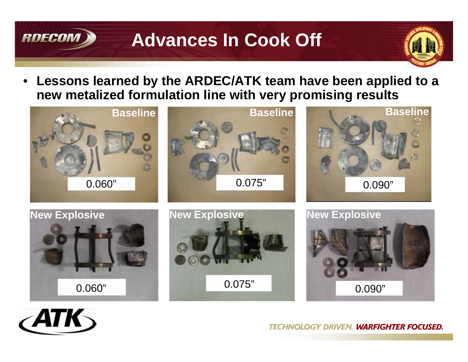## **Advances In Cook Off**



• **Lessons learned by the ARDEC/ATK team have been applied to a new metalized formulation line with very promising results**





**RDECON**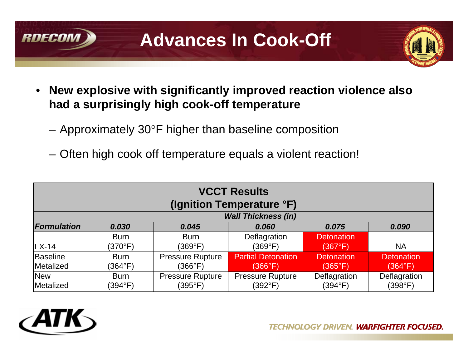

**Advances In Cook-Off**



- **New explosive with significantly improved reaction violence also had a surprisingly high cook-off temperature**
	- $-$  Approximately 30°F higher than baseline composition
	- Often high cook off temperature equals a violent reaction!

| <b>VCCT Results</b><br>(Ignition Temperature °F) |                            |                                    |                                    |                         |                         |  |  |
|--------------------------------------------------|----------------------------|------------------------------------|------------------------------------|-------------------------|-------------------------|--|--|
|                                                  | <b>Wall Thickness (in)</b> |                                    |                                    |                         |                         |  |  |
| <b>Formulation</b>                               | 0.030                      | 0.045                              | 0.060                              | 0.075                   | 0.090                   |  |  |
|                                                  | <b>Burn</b>                | <b>Burn</b>                        | Deflagration                       | <b>Detonation</b>       |                         |  |  |
| $LX-14$                                          | (370°F)                    | (369°F)                            | (369°F)                            | (367°F)                 | <b>NA</b>               |  |  |
| Baseline                                         | <b>Burn</b>                | <b>Pressure Rupture</b>            | <b>Partial Detonation</b>          | <b>Detonation</b>       | <b>Detonation</b>       |  |  |
| Metalized                                        | (364°F)                    | (366°F)                            | (366°F)                            | $(365^{\circ}F)$        | (364°F)                 |  |  |
| <b>New</b><br>Metalized                          | <b>Burn</b><br>(394°F)     | <b>Pressure Rupture</b><br>(395°F) | <b>Pressure Rupture</b><br>(392°F) | Deflagration<br>(394°F) | Deflagration<br>(398°F) |  |  |